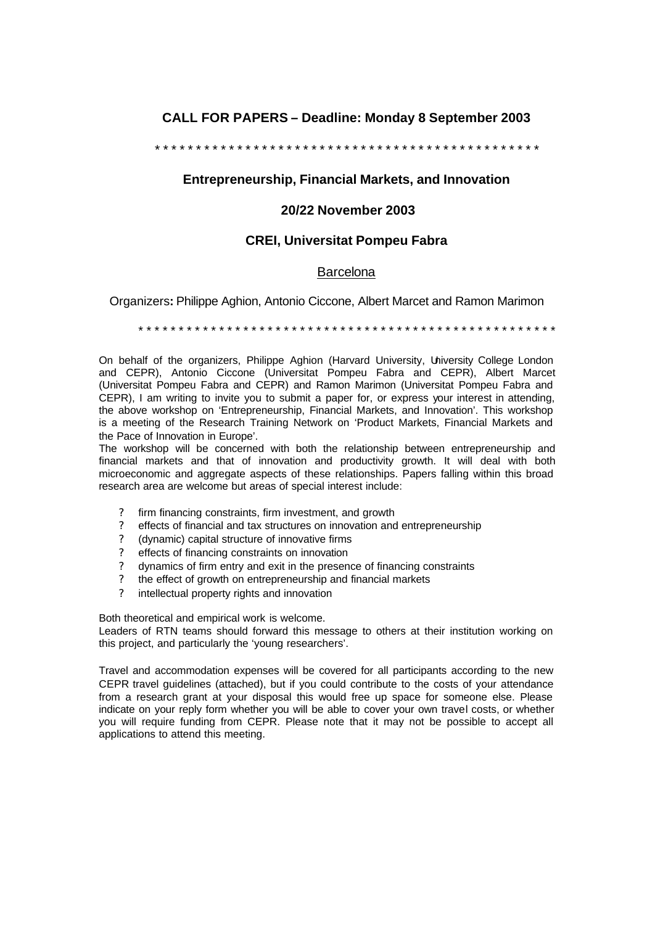# **CALL FOR PAPERS – Deadline: Monday 8 September 2003**

\* \* \* \* \* \* \* \* \* \* \* \* \* \* \* \* \* \* \* \* \* \* \* \* \* \* \* \* \* \* \* \* \* \* \* \* \* \* \* \* \* \* \* \* \* \* \*

### **Entrepreneurship, Financial Markets, and Innovation**

#### **20/22 November 2003**

## **CREI, Universitat Pompeu Fabra**

#### **Barcelona**

Organizers**:** Philippe Aghion, Antonio Ciccone, Albert Marcet and Ramon Marimon

\* \* \* \* \* \* \* \* \* \* \* \* \* \* \* \* \* \* \* \* \* \* \* \* \* \* \* \* \* \* \* \* \* \* \* \* \* \* \* \* \* \* \* \* \* \* \* \* \* \* \* \*

On behalf of the organizers, Philippe Aghion (Harvard University, University College London and CEPR), Antonio Ciccone (Universitat Pompeu Fabra and CEPR), Albert Marcet (Universitat Pompeu Fabra and CEPR) and Ramon Marimon (Universitat Pompeu Fabra and CEPR), I am writing to invite you to submit a paper for, or express your interest in attending, the above workshop on 'Entrepreneurship, Financial Markets, and Innovation'. This workshop is a meeting of the Research Training Network on 'Product Markets, Financial Markets and the Pace of Innovation in Europe'.

The workshop will be concerned with both the relationship between entrepreneurship and financial markets and that of innovation and productivity growth. It will deal with both microeconomic and aggregate aspects of these relationships. Papers falling within this broad research area are welcome but areas of special interest include:

- firm financing constraints, firm investment, and growth
- ? effects of financial and tax structures on innovation and entrepreneurship
- ? (dynamic) capital structure of innovative firms
- ? effects of financing constraints on innovation
- ? dynamics of firm entry and exit in the presence of financing constraints
- ? the effect of growth on entrepreneurship and financial markets
- ? intellectual property rights and innovation

Both theoretical and empirical work is welcome.

Leaders of RTN teams should forward this message to others at their institution working on this project, and particularly the 'young researchers'.

Travel and accommodation expenses will be covered for all participants according to the new CEPR travel guidelines (attached), but if you could contribute to the costs of your attendance from a research grant at your disposal this would free up space for someone else. Please indicate on your reply form whether you will be able to cover your own travel costs, or whether you will require funding from CEPR. Please note that it may not be possible to accept all applications to attend this meeting.